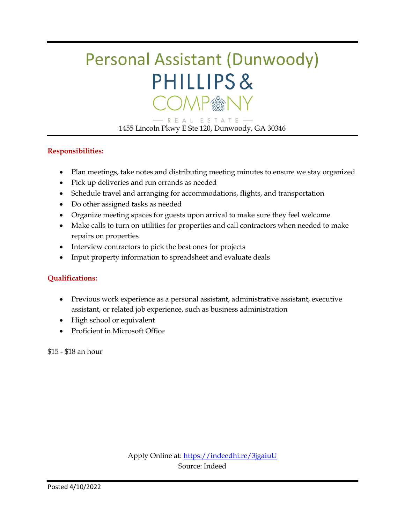# Personal Assistant (Dunwoody) PHILLIPS& COMP®N)

- R E A L E S T A T E -1455 Lincoln Pkwy E Ste 120, Dunwoody, GA 30346

#### **Responsibilities:**

- Plan meetings, take notes and distributing meeting minutes to ensure we stay organized
- Pick up deliveries and run errands as needed
- Schedule travel and arranging for accommodations, flights, and transportation
- Do other assigned tasks as needed
- Organize meeting spaces for guests upon arrival to make sure they feel welcome
- Make calls to turn on utilities for properties and call contractors when needed to make repairs on properties
- Interview contractors to pick the best ones for projects
- Input property information to spreadsheet and evaluate deals

#### **Qualifications:**

- Previous work experience as a personal assistant, administrative assistant, executive assistant, or related job experience, such as business administration
- High school or equivalent
- Proficient in Microsoft Office

\$15 - \$18 an hour

Apply Online at:<https://indeedhi.re/3jgaiuU> Source: Indeed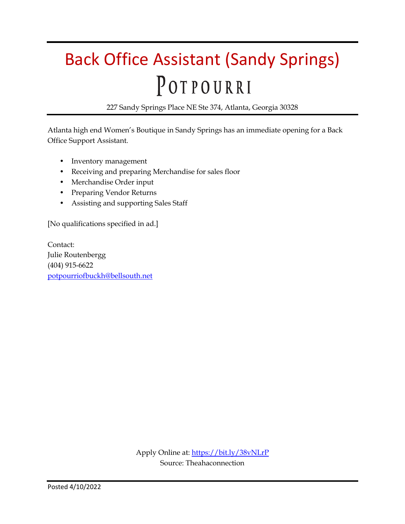# Back Office Assistant (Sandy Springs) POTPOURRI

227 Sandy Springs Place NE Ste 374, Atlanta, Georgia 30328

Atlanta high end Women's Boutique in Sandy Springs has an immediate opening for a Back Office Support Assistant.

- Inventory management
- Receiving and preparing Merchandise for sales floor
- Merchandise Order input
- Preparing Vendor Returns
- Assisting and supporting Sales Staff

[No qualifications specified in ad.]

Contact: Julie Routenbergg (404) 915-6622 [potpourriofbuckh@bellsouth.net](https://mail.google.com/mail/?view=cm&fs=1&tf=1&to=potpourriofbuckh@bellsouth.net)

> Apply Online at:<https://bit.ly/38vNLrP> Source: Theahaconnection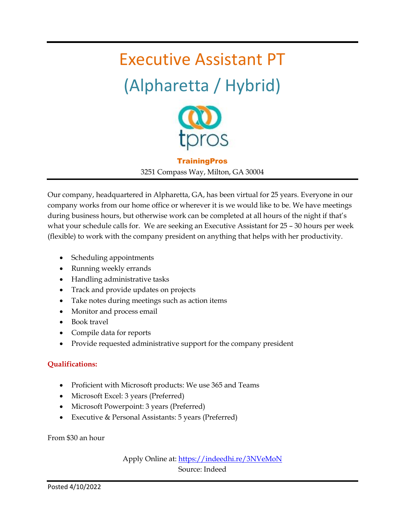# Executive Assistant PT (Alpharetta / Hybrid)



**TrainingPros** 

3251 Compass Way, Milton, GA 30004

Our company, headquartered in Alpharetta, GA, has been virtual for 25 years. Everyone in our company works from our home office or wherever it is we would like to be. We have meetings during business hours, but otherwise work can be completed at all hours of the night if that's what your schedule calls for. We are seeking an Executive Assistant for 25 – 30 hours per week (flexible) to work with the company president on anything that helps with her productivity.

- Scheduling appointments
- Running weekly errands
- Handling administrative tasks
- Track and provide updates on projects
- Take notes during meetings such as action items
- Monitor and process email
- Book travel
- Compile data for reports
- Provide requested administrative support for the company president

#### **Qualifications:**

- Proficient with Microsoft products: We use 365 and Teams
- Microsoft Excel: 3 years (Preferred)
- Microsoft Powerpoint: 3 years (Preferred)
- Executive & Personal Assistants: 5 years (Preferred)

From \$30 an hour

Apply Online at:<https://indeedhi.re/3NVeMoN> Source: Indeed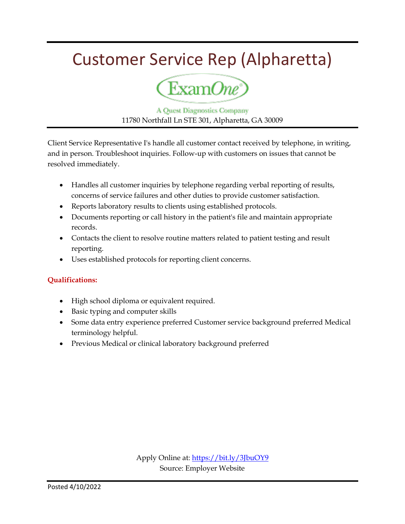### Customer Service Rep (Alpharetta)



**A Quest Diagnostics Company** 11780 Northfall Ln STE 301, Alpharetta, GA 30009

Client Service Representative I's handle all customer contact received by telephone, in writing, and in person. Troubleshoot inquiries. Follow-up with customers on issues that cannot be resolved immediately.

- Handles all customer inquiries by telephone regarding verbal reporting of results, concerns of service failures and other duties to provide customer satisfaction.
- Reports laboratory results to clients using established protocols.
- Documents reporting or call history in the patient's file and maintain appropriate records.
- Contacts the client to resolve routine matters related to patient testing and result reporting.
- Uses established protocols for reporting client concerns.

#### **Qualifications:**

- High school diploma or equivalent required.
- Basic typing and computer skills
- Some data entry experience preferred Customer service background preferred Medical terminology helpful.
- Previous Medical or clinical laboratory background preferred

Apply Online at:<https://bit.ly/3JbuOY9> Source: Employer Website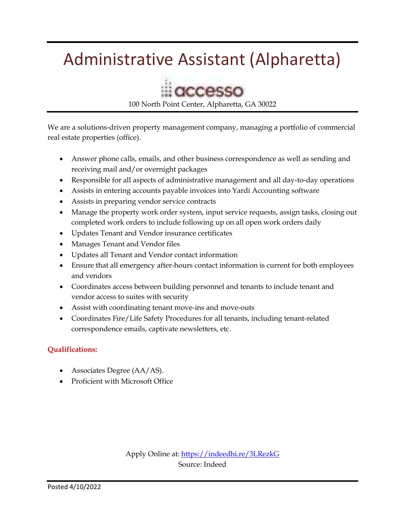# Administrative Assistant (Alpharetta)



100 North Point Center, Alpharetta, GA 30022

We are a solutions-driven property management company, managing a portfolio of commercial real estate properties (office).

- Answer phone calls, emails, and other business correspondence as well as sending and receiving mail and/or overnight packages
- Responsible for all aspects of administrative management and all day-to-day operations
- Assists in entering accounts payable invoices into Yardi Accounting software
- Assists in preparing vendor service contracts
- Manage the property work order system, input service requests, assign tasks, closing out completed work orders to include following up on all open work orders daily
- Updates Tenant and Vendor insurance certificates
- Manages Tenant and Vendor files
- Updates all Tenant and Vendor contact information
- Ensure that all emergency after-hours contact information is current for both employees and vendors
- Coordinates access between building personnel and tenants to include tenant and vendor access to suites with security
- Assist with coordinating tenant move-ins and move-outs
- Coordinates Fire/Life Safety Procedures for all tenants, including tenant-related correspondence emails, captivate newsletters, etc.

#### **Qualifications:**

- Associates Degree (AA/AS).
- Proficient with Microsoft Office

Apply Online at:<https://indeedhi.re/3LRezkG> Source: Indeed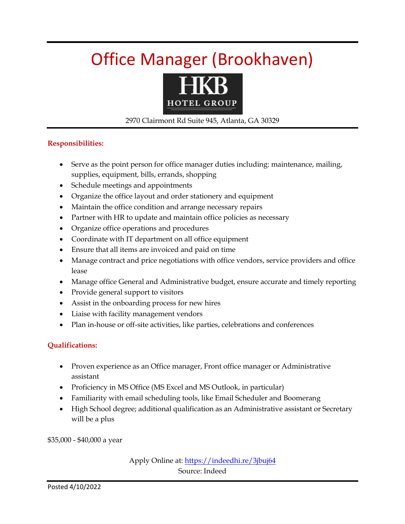# Office Manager (Brookhaven)



#### 2970 Clairmont Rd Suite 945, Atlanta, GA 30329

#### **Responsibilities:**

- Serve as the point person for office manager duties including: maintenance, mailing, supplies, equipment, bills, errands, shopping
- Schedule meetings and appointments
- Organize the office layout and order stationery and equipment
- Maintain the office condition and arrange necessary repairs
- Partner with HR to update and maintain office policies as necessary
- Organize office operations and procedures
- Coordinate with IT department on all office equipment
- Ensure that all items are invoiced and paid on time
- Manage contract and price negotiations with office vendors, service providers and office lease
- Manage office General and Administrative budget, ensure accurate and timely reporting
- Provide general support to visitors
- Assist in the onboarding process for new hires
- Liaise with facility management vendors
- Plan in-house or off-site activities, like parties, celebrations and conferences

#### **Qualifications:**

- Proven experience as an Office manager, Front office manager or Administrative assistant
- Proficiency in MS Office (MS Excel and MS Outlook, in particular)
- Familiarity with email scheduling tools, like Email Scheduler and Boomerang
- High School degree; additional qualification as an Administrative assistant or Secretary will be a plus

\$35,000 - \$40,000 a year

Apply Online at:<https://indeedhi.re/3jbuj64> Source: Indeed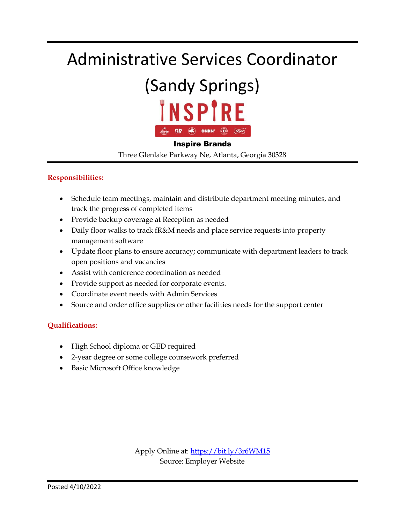### Administrative Services Coordinator

### (Sandy Springs) **INSPIRE BR**  $\left(\begin{matrix} 1 \\ 1 \end{matrix}\right)$  DNKN!  $\left(\begin{matrix} 1 \\ 1 \end{matrix}\right)$   $\left(\begin{matrix} 30 \end{matrix}\right)$

#### Inspire Brands

Three Glenlake Parkway Ne, Atlanta, Georgia 30328

#### **Responsibilities:**

- Schedule team meetings, maintain and distribute department meeting minutes, and track the progress of completed items
- Provide backup coverage at Reception as needed
- Daily floor walks to track fR&M needs and place service requests into property management software
- Update floor plans to ensure accuracy; communicate with department leaders to track open positions and vacancies
- Assist with conference coordination as needed
- Provide support as needed for corporate events.
- Coordinate event needs with Admin Services
- Source and order office supplies or other facilities needs for the support center

#### **Qualifications:**

- High School diploma or GED required
- 2-year degree or some college coursework preferred
- Basic Microsoft Office knowledge

Apply Online at:<https://bit.ly/3r6WM15> Source: Employer Website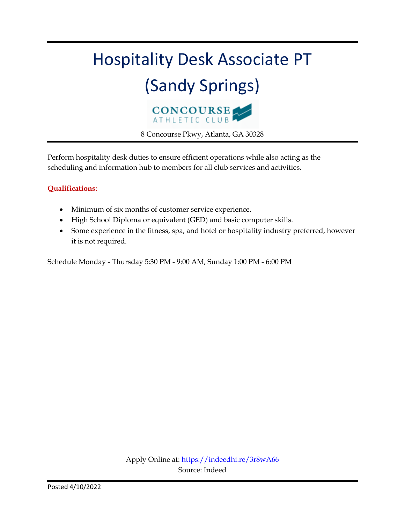

Perform hospitality desk duties to ensure efficient operations while also acting as the scheduling and information hub to members for all club services and activities.

#### **Qualifications:**

- Minimum of six months of customer service experience.
- High School Diploma or equivalent (GED) and basic computer skills.
- Some experience in the fitness, spa, and hotel or hospitality industry preferred, however it is not required.

Schedule Monday - Thursday 5:30 PM - 9:00 AM, Sunday 1:00 PM - 6:00 PM

Apply Online at:<https://indeedhi.re/3r8wA66> Source: Indeed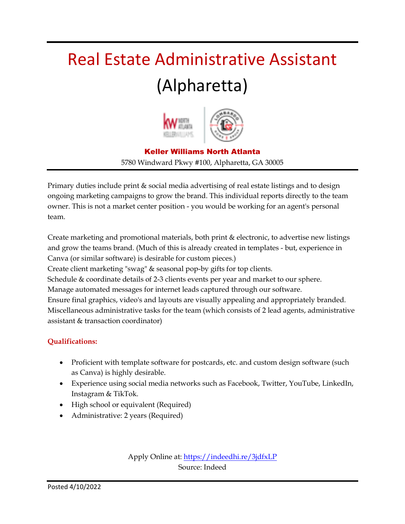# Real Estate Administrative Assistant (Alpharetta)



#### Keller Williams North Atlanta 5780 Windward Pkwy #100, Alpharetta, GA 30005

Primary duties include print & social media advertising of real estate listings and to design ongoing marketing campaigns to grow the brand. This individual reports directly to the team owner. This is not a market center position - you would be working for an agent's personal team.

Create marketing and promotional materials, both print & electronic, to advertise new listings and grow the teams brand. (Much of this is already created in templates - but, experience in Canva (or similar software) is desirable for custom pieces.)

Create client marketing "swag" & seasonal pop-by gifts for top clients.

Schedule & coordinate details of 2-3 clients events per year and market to our sphere.

Manage automated messages for internet leads captured through our software.

Ensure final graphics, video's and layouts are visually appealing and appropriately branded. Miscellaneous administrative tasks for the team (which consists of 2 lead agents, administrative assistant & transaction coordinator)

#### **Qualifications:**

- Proficient with template software for postcards, etc. and custom design software (such as Canva) is highly desirable.
- Experience using social media networks such as Facebook, Twitter, YouTube, LinkedIn, Instagram & TikTok.
- High school or equivalent (Required)
- Administrative: 2 years (Required)

Apply Online at: <u>https://indeedhi.re/3jdfxLP</u> Source: Indeed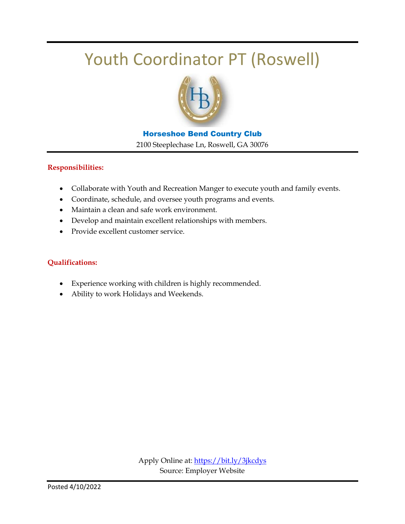### Youth Coordinator PT (Roswell)



#### Horseshoe Bend Country Club 2100 Steeplechase Ln, Roswell, GA 30076

#### **Responsibilities:**

- Collaborate with Youth and Recreation Manger to execute youth and family events.
- Coordinate, schedule, and oversee youth programs and events.
- Maintain a clean and safe work environment.
- Develop and maintain excellent relationships with members.
- Provide excellent customer service.

- Experience working with children is highly recommended.
- Ability to work Holidays and Weekends.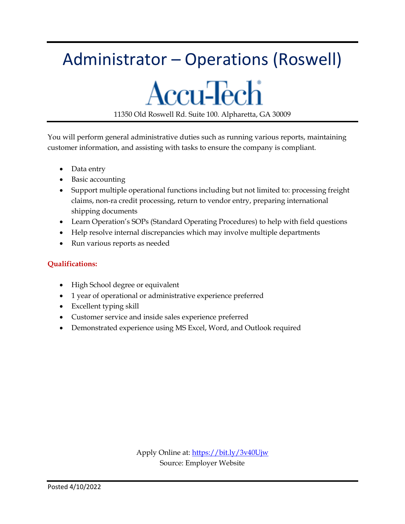# Administrator – Operations (Roswell)

### **Accu-Tech** 11350 Old Roswell Rd. Suite 100. Alpharetta, GA 30009

You will perform general administrative duties such as running various reports, maintaining customer information, and assisting with tasks to ensure the company is compliant.

- Data entry
- Basic accounting
- Support multiple operational functions including but not limited to: processing freight claims, non-ra credit processing, return to vendor entry, preparing international shipping documents
- Learn Operation's SOPs (Standard Operating Procedures) to help with field questions
- Help resolve internal discrepancies which may involve multiple departments
- Run various reports as needed

- High School degree or equivalent
- 1 year of operational or administrative experience preferred
- Excellent typing skill
- Customer service and inside sales experience preferred
- Demonstrated experience using MS Excel, Word, and Outlook required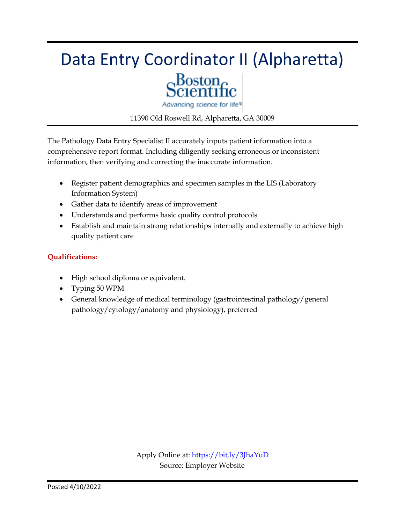# Data Entry Coordinator II (Alpharetta)  $\alpha_{\rm constant}^{\rm Boston}$



Advancing science for life<sup>w</sup>

11390 Old Roswell Rd, Alpharetta, GA 30009

The Pathology Data Entry Specialist II accurately inputs patient information into a comprehensive report format. Including diligently seeking erroneous or inconsistent information, then verifying and correcting the inaccurate information.

- Register patient demographics and specimen samples in the LIS (Laboratory Information System)
- Gather data to identify areas of improvement
- Understands and performs basic quality control protocols
- Establish and maintain strong relationships internally and externally to achieve high quality patient care

- High school diploma or equivalent.
- Typing 50 WPM
- General knowledge of medical terminology (gastrointestinal pathology/general pathology/cytology/anatomy and physiology), preferred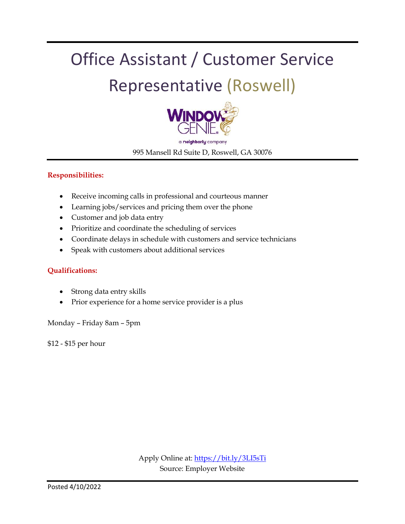# Office Assistant / Customer Service Representative (Roswell)



a neighborly company 995 Mansell Rd Suite D, Roswell, GA 30076

#### **Responsibilities:**

- Receive incoming calls in professional and courteous manner
- Learning jobs/services and pricing them over the phone
- Customer and job data entry
- Prioritize and coordinate the scheduling of services
- Coordinate delays in schedule with customers and service technicians
- Speak with customers about additional services

#### **Qualifications:**

- Strong data entry skills
- Prior experience for a home service provider is a plus

Monday – Friday 8am – 5pm

\$12 - \$15 per hour

Apply Online at:<https://bit.ly/3LI5sTi> Source: Employer Website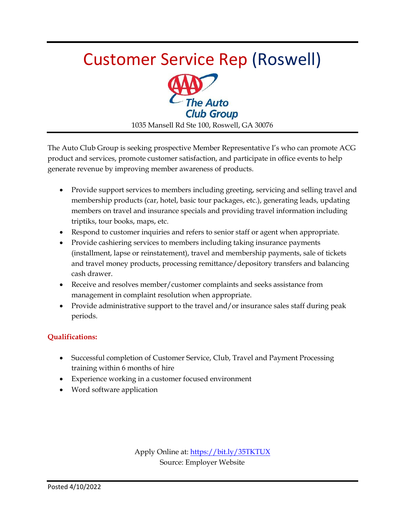# Customer Service Rep (Roswell)



1035 Mansell Rd Ste 100, Roswell, GA 30076

The Auto Club Group is seeking prospective Member Representative I's who can promote ACG product and services, promote customer satisfaction, and participate in office events to help generate revenue by improving member awareness of products.

- Provide support services to members including greeting, servicing and selling travel and membership products (car, hotel, basic tour packages, etc.), generating leads, updating members on travel and insurance specials and providing travel information including triptiks, tour books, maps, etc.
- Respond to customer inquiries and refers to senior staff or agent when appropriate.
- Provide cashiering services to members including taking insurance payments (installment, lapse or reinstatement), travel and membership payments, sale of tickets and travel money products, processing remittance/depository transfers and balancing cash drawer.
- Receive and resolves member/customer complaints and seeks assistance from management in complaint resolution when appropriate.
- Provide administrative support to the travel and/or insurance sales staff during peak periods.

#### **Qualifications:**

- Successful completion of Customer Service, Club, Travel and Payment Processing training within 6 months of hire
- Experience working in a customer focused environment
- Word software application

Apply Online at[: https://bit.ly/35TKTUX](https://bit.ly/35TKTUX) Source: Employer Website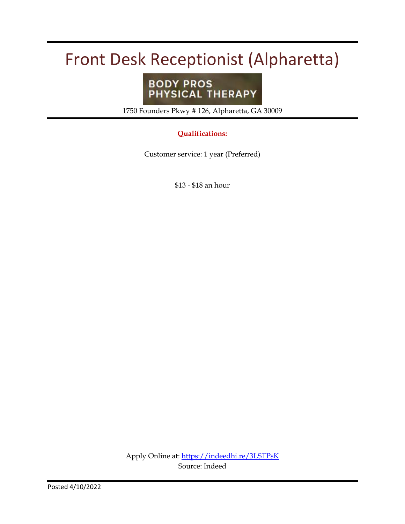### Front Desk Receptionist (Alpharetta)

# **BODY PROS<br>PHYSICAL THERAPY**

1750 Founders Pkwy # 126, Alpharetta, GA 30009

#### **Qualifications:**

Customer service: 1 year (Preferred)

\$13 - \$18 an hour

Apply Online at:<https://indeedhi.re/3LSTPsK> Source: Indeed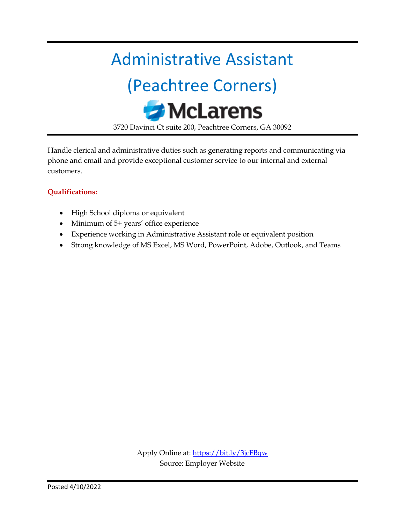### Administrative Assistant

# (Peachtree Corners) **McLarens**

3720 Davinci Ct suite 200, Peachtree Corners, GA 30092

Handle clerical and administrative duties such as generating reports and communicating via phone and email and provide exceptional customer service to our internal and external customers.

- High School diploma or equivalent
- Minimum of 5+ years' office experience
- Experience working in Administrative Assistant role or equivalent position
- Strong knowledge of MS Excel, MS Word, PowerPoint, Adobe, Outlook, and Teams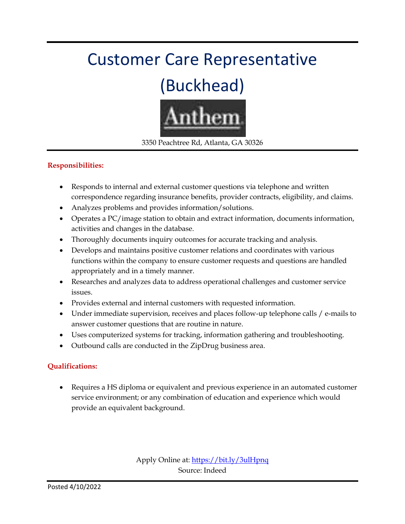# Customer Care Representative

# (Buckhead)



3350 Peachtree Rd, Atlanta, GA 30326

#### **Responsibilities:**

- Responds to internal and external customer questions via telephone and written correspondence regarding insurance benefits, provider contracts, eligibility, and claims.
- Analyzes problems and provides information/solutions.
- Operates a PC/image station to obtain and extract information, documents information, activities and changes in the database.
- Thoroughly documents inquiry outcomes for accurate tracking and analysis.
- Develops and maintains positive customer relations and coordinates with various functions within the company to ensure customer requests and questions are handled appropriately and in a timely manner.
- Researches and analyzes data to address operational challenges and customer service issues.
- Provides external and internal customers with requested information.
- Under immediate supervision, receives and places follow-up telephone calls / e-mails to answer customer questions that are routine in nature.
- Uses computerized systems for tracking, information gathering and troubleshooting.
- Outbound calls are conducted in the ZipDrug business area.

#### **Qualifications:**

 Requires a HS diploma or equivalent and previous experience in an automated customer service environment; or any combination of education and experience which would provide an equivalent background.

> Apply Online at:<https://bit.ly/3ulHpnq> Source: Indeed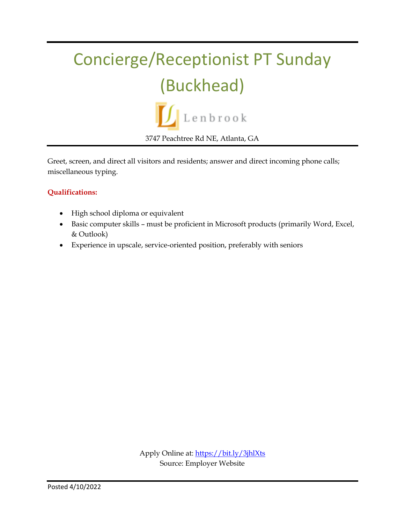# Concierge/Receptionist PT Sunday (Buckhead)



Greet, screen, and direct all visitors and residents; answer and direct incoming phone calls; miscellaneous typing.

- High school diploma or equivalent
- Basic computer skills must be proficient in Microsoft products (primarily Word, Excel, & Outlook)
- Experience in upscale, service-oriented position, preferably with seniors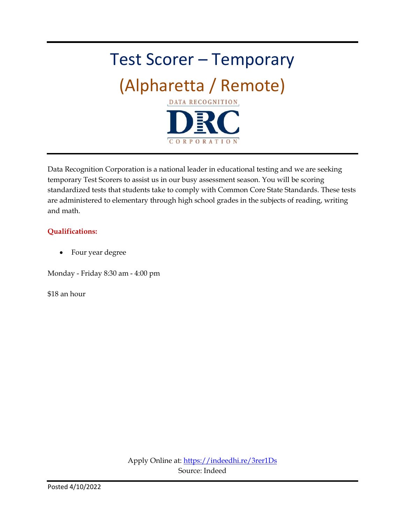# Test Scorer – Temporary (Alpharetta / Remote) **DATA RECOGNITION** CORPORATION

Data Recognition Corporation is a national leader in educational testing and we are seeking temporary Test Scorers to assist us in our busy assessment season. You will be scoring standardized tests that students take to comply with Common Core State Standards. These tests are administered to elementary through high school grades in the subjects of reading, writing and math.

#### **Qualifications:**

• Four year degree

Monday - Friday 8:30 am - 4:00 pm

\$18 an hour

Apply Online at:<https://indeedhi.re/3rer1Ds> Source: Indeed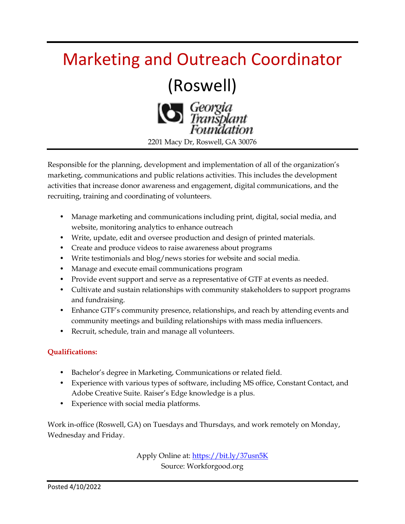### Marketing and Outreach Coordinator

### (Roswell)



Responsible for the planning, development and implementation of all of the organization's marketing, communications and public relations activities. This includes the development activities that increase donor awareness and engagement, digital communications, and the recruiting, training and coordinating of volunteers.

- Manage marketing and communications including print, digital, social media, and website, monitoring analytics to enhance outreach
- Write, update, edit and oversee production and design of printed materials.
- Create and produce videos to raise awareness about programs
- Write testimonials and blog/news stories for website and social media.
- Manage and execute email communications program
- Provide event support and serve as a representative of GTF at events as needed.
- Cultivate and sustain relationships with community stakeholders to support programs and fundraising.
- Enhance GTF's community presence, relationships, and reach by attending events and community meetings and building relationships with mass media influencers.
- Recruit, schedule, train and manage all volunteers.

#### **Qualifications:**

- Bachelor's degree in Marketing, Communications or related field.
- Experience with various types of software, including MS office, Constant Contact, and Adobe Creative Suite. Raiser's Edge knowledge is a plus.
- Experience with social media platforms.

Work in-office (Roswell, GA) on Tuesdays and Thursdays, and work remotely on Monday, Wednesday and Friday.

> Apply Online at:<https://bit.ly/37usn5K> Source: Workforgood.org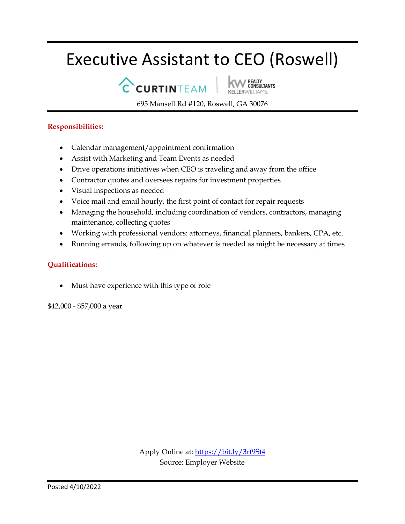### Executive Assistant to CEO (Roswell)

CCURTINTEAM

REALTY<br>CONSULTANTS

695 Mansell Rd #120, Roswell, GA 30076

#### **Responsibilities:**

- Calendar management/appointment confirmation
- Assist with Marketing and Team Events as needed
- Drive operations initiatives when CEO is traveling and away from the office
- Contractor quotes and oversees repairs for investment properties
- Visual inspections as needed
- Voice mail and email hourly, the first point of contact for repair requests
- Managing the household, including coordination of vendors, contractors, managing maintenance, collecting quotes
- Working with professional vendors: attorneys, financial planners, bankers, CPA, etc.
- Running errands, following up on whatever is needed as might be necessary at times

#### **Qualifications:**

Must have experience with this type of role

\$42,000 - \$57,000 a year

Apply Online at:<https://bit.ly/3rf9St4> Source: Employer Website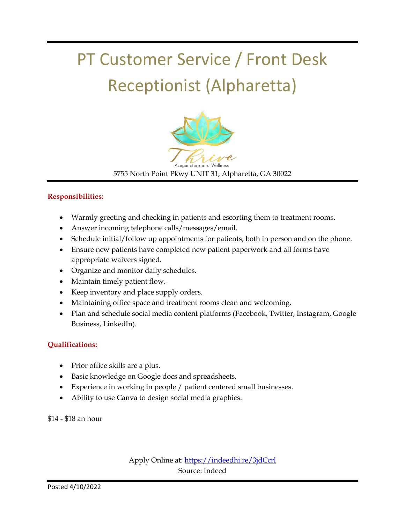# PT Customer Service / Front Desk Receptionist (Alpharetta)



5755 North Point Pkwy UNIT 31, Alpharetta, GA 30022

#### **Responsibilities:**

- Warmly greeting and checking in patients and escorting them to treatment rooms.
- Answer incoming telephone calls/messages/email.
- Schedule initial/follow up appointments for patients, both in person and on the phone.
- Ensure new patients have completed new patient paperwork and all forms have appropriate waivers signed.
- Organize and monitor daily schedules.
- Maintain timely patient flow.
- Keep inventory and place supply orders.
- Maintaining office space and treatment rooms clean and welcoming.
- Plan and schedule social media content platforms (Facebook, Twitter, Instagram, Google Business, LinkedIn).

#### **Qualifications:**

- Prior office skills are a plus.
- Basic knowledge on Google docs and spreadsheets.
- Experience in working in people / patient centered small businesses.
- Ability to use Canva to design social media graphics.

\$14 - \$18 an hour

Apply Online at:<https://indeedhi.re/3jdCcrl> Source: Indeed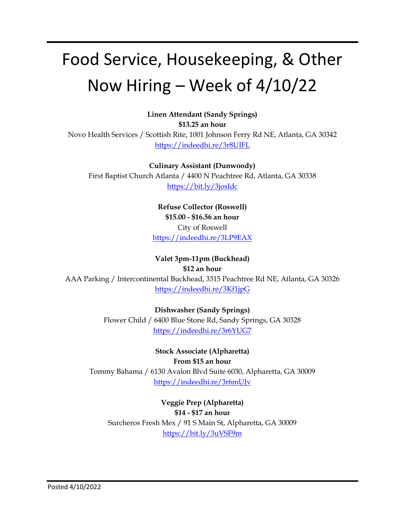# Food Service, Housekeeping, & Other Now Hiring – Week of 4/10/22

**Linen Attendant (Sandy Springs) \$13.25 an hour** Novo Health Services / Scottish Rite, 1001 Johnson Ferry Rd NE, Atlanta, GA 30342 <https://indeedhi.re/3r8UIFL>

**Culinary Assistant (Dunwoody)** First Baptist Church Atlanta / 4400 N Peachtree Rd, Atlanta, GA 30338 <https://bit.ly/3josIdc>

> **Refuse Collector (Roswell) \$15.00 - \$16.56 an hour** City of Roswell <https://indeedhi.re/3LP9EAX>

**Valet 3pm-11pm (Buckhead) \$12 an hour**

AAA Parking / Intercontinental Buckhead, 3315 Peachtree Rd NE, Atlanta, GA 30326 <https://indeedhi.re/3Kf1jpG>

> **Dishwasher (Sandy Springs)** Flower Child / 6400 Blue Stone Rd, Sandy Springs, GA 30328 <https://indeedhi.re/3r6YUG7>

**Stock Associate (Alpharetta) From \$15 an hour** Tommy Bahama / 6130 Avalon Blvd Suite 6030, Alpharetta, GA 30009 <https://indeedhi.re/3r6mUJv>

**Veggie Prep (Alpharetta) \$14 - \$17 an hour** Surcheros Fresh Mex / 91 S Main St, Alpharetta, GA 30009 <https://bit.ly/3uVSF9m>